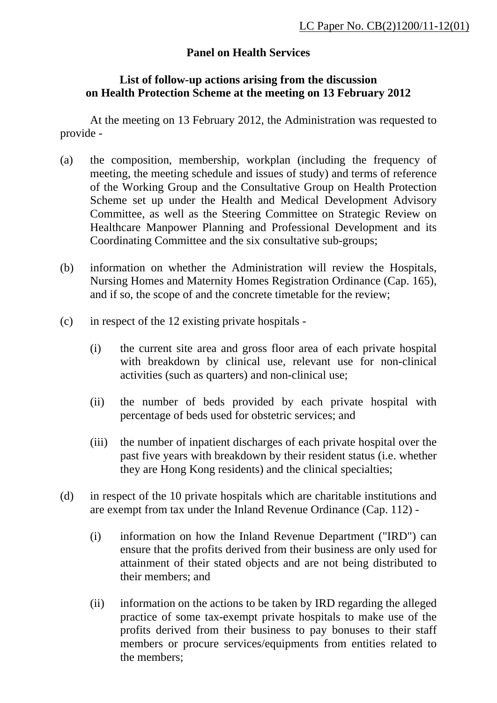## **Panel on Health Services**

## **List of follow-up actions arising from the discussion on Health Protection Scheme at the meeting on 13 February 2012**

 At the meeting on 13 February 2012, the Administration was requested to provide -

- (a) the composition, membership, workplan (including the frequency of meeting, the meeting schedule and issues of study) and terms of reference of the Working Group and the Consultative Group on Health Protection Scheme set up under the Health and Medical Development Advisory Committee, as well as the Steering Committee on Strategic Review on Healthcare Manpower Planning and Professional Development and its Coordinating Committee and the six consultative sub-groups;
- (b) information on whether the Administration will review the Hospitals, Nursing Homes and Maternity Homes Registration Ordinance (Cap. 165), and if so, the scope of and the concrete timetable for the review;
- (c) in respect of the 12 existing private hospitals
	- (i) the current site area and gross floor area of each private hospital with breakdown by clinical use, relevant use for non-clinical activities (such as quarters) and non-clinical use;
	- (ii) the number of beds provided by each private hospital with percentage of beds used for obstetric services; and
	- (iii) the number of inpatient discharges of each private hospital over the past five years with breakdown by their resident status (i.e. whether they are Hong Kong residents) and the clinical specialties;
- (d) in respect of the 10 private hospitals which are charitable institutions and are exempt from tax under the Inland Revenue Ordinance (Cap. 112) -
	- (i) information on how the Inland Revenue Department ("IRD") can ensure that the profits derived from their business are only used for attainment of their stated objects and are not being distributed to their members; and
	- (ii) information on the actions to be taken by IRD regarding the alleged practice of some tax-exempt private hospitals to make use of the profits derived from their business to pay bonuses to their staff members or procure services/equipments from entities related to the members;